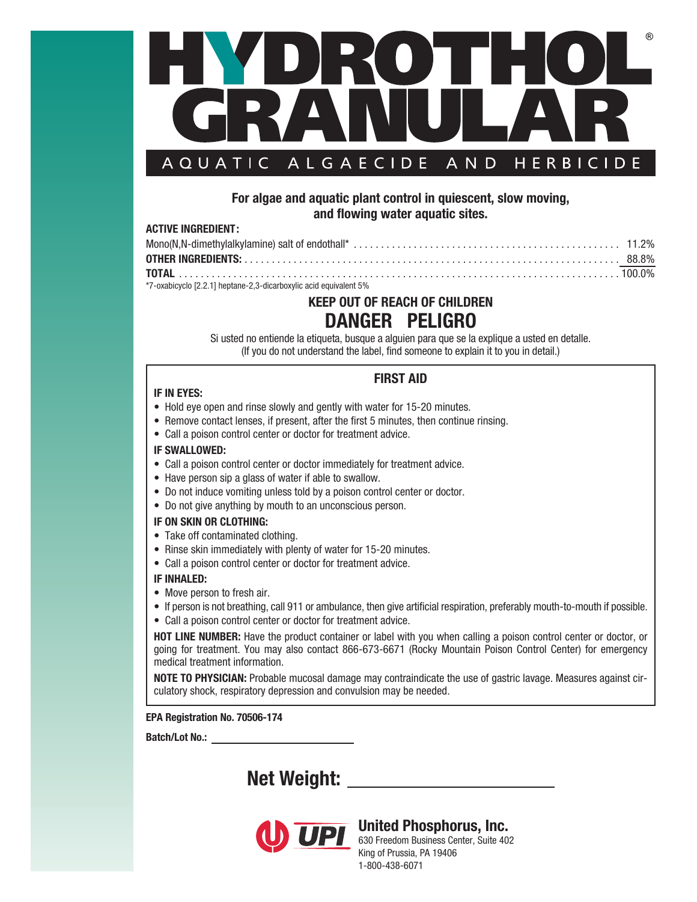

### **For algae and aquatic plant control in quiescent, slow moving, and flowing water aquatic sites.**

#### **ACTIVE INGREDIENT:**

| *7-oxabicyclo [2.2.1] heptane-2.3-dicarboxylic acid equivalent 5% |  |
|-------------------------------------------------------------------|--|

## **KEEP OUT OF REACH OF CHILDREN DANGER PELIGRO**

Si usted no entiende la etiqueta, busque a alguien para que se la explique a usted en detalle. (If you do not understand the label, find someone to explain it to you in detail.)

### **FIRST AID**

#### **IF IN EYES:**

- Hold eye open and rinse slowly and gently with water for 15-20 minutes.
- Remove contact lenses, if present, after the first 5 minutes, then continue rinsing.
- Call a poison control center or doctor for treatment advice.

#### **IF SWALLOWED:**

- Call a poison control center or doctor immediately for treatment advice.
- Have person sip a glass of water if able to swallow.
- Do not induce vomiting unless told by a poison control center or doctor.
- Do not give anything by mouth to an unconscious person.

#### **IF ON SKIN OR CLOTHING:**

- Take off contaminated clothing.
- Rinse skin immediately with plenty of water for 15-20 minutes.
- Call a poison control center or doctor for treatment advice.

#### **IF INHALED:**

- Move person to fresh air.
- If person is not breathing, call 911 or ambulance, then give artificial respiration, preferably mouth-to-mouth if possible.
- Call a poison control center or doctor for treatment advice.

**HOT LINE NUMBER:** Have the product container or label with you when calling a poison control center or doctor, or going for treatment. You may also contact 866-673-6671 (Rocky Mountain Poison Control Center) for emergency medical treatment information.

**NOTE TO PHYSICIAN:** Probable mucosal damage may contraindicate the use of gastric lavage. Measures against circulatory shock, respiratory depression and convulsion may be needed.

**EPA Registration No. 70506-174**

**Batch/Lot No.:** 

# **Net Weight:**



### **United Phosphorus, Inc.**

**UPI** UNITED PHOSPHOTUS, INC.<br>630 Freedom Business Center, Suite 402 King of Prussia, PA 19406 1-800-438-6071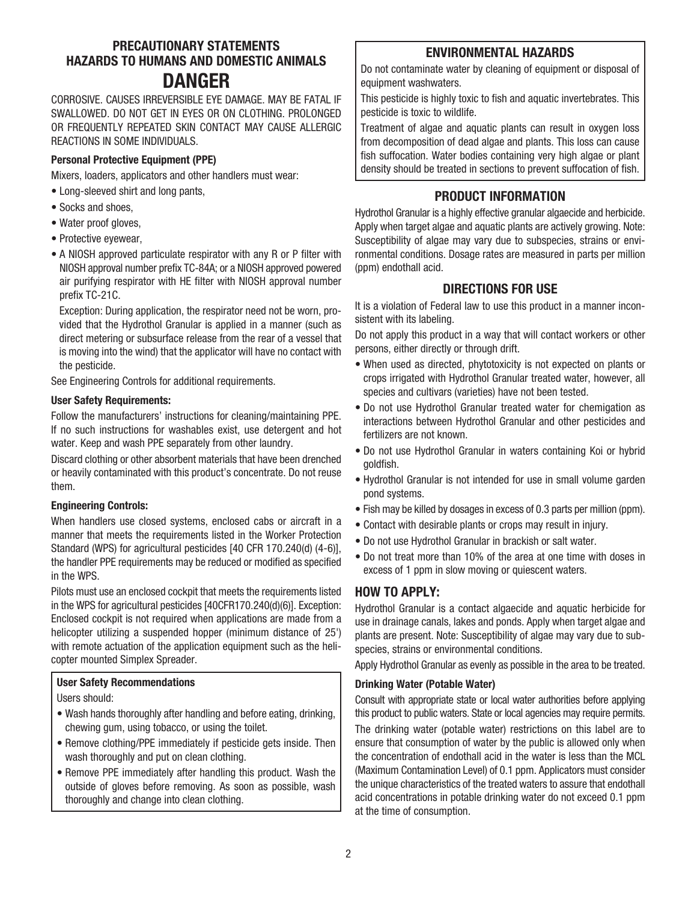### **PRECAUTIONARY STATEMENTS HAZARDS TO HUMANS AND DOMESTIC ANIMALS DANGER**

CORROSIVE. CAUSES IRREVERSIBLE EYE DAMAGE. MAY BE FATAL IF SWALLOWED. DO NOT GET IN EYES OR ON CLOTHING. PROLONGED OR FREQUENTLY REPEATED SKIN CONTACT MAY CAUSE ALLERGIC REACTIONS IN SOME INDIVIDUALS.

### **Personal Protective Equipment (PPE)**

Mixers, loaders, applicators and other handlers must wear:

- Long-sleeved shirt and long pants,
- Socks and shoes,
- Water proof gloves,
- Protective eyewear,
- A NIOSH approved particulate respirator with any R or P filter with NIOSH approval number prefix TC-84A; or a NIOSH approved powered air purifying respirator with HE filter with NIOSH approval number prefix TC-21C.

 Exception: During application, the respirator need not be worn, provided that the Hydrothol Granular is applied in a manner (such as direct metering or subsurface release from the rear of a vessel that is moving into the wind) that the applicator will have no contact with the pesticide.

See Engineering Controls for additional requirements.

#### **User Safety Requirements:**

Follow the manufacturers' instructions for cleaning/maintaining PPE. If no such instructions for washables exist, use detergent and hot water. Keep and wash PPE separately from other laundry.

Discard clothing or other absorbent materials that have been drenched or heavily contaminated with this product's concentrate. Do not reuse them.

#### **Engineering Controls:**

When handlers use closed systems, enclosed cabs or aircraft in a manner that meets the requirements listed in the Worker Protection Standard (WPS) for agricultural pesticides [40 CFR 170.240(d) (4-6)], the handler PPE requirements may be reduced or modified as specified in the WPS.

Pilots must use an enclosed cockpit that meets the requirements listed in the WPS for agricultural pesticides [40CFR170.240(d)(6)]. Exception: Enclosed cockpit is not required when applications are made from a helicopter utilizing a suspended hopper (minimum distance of 25') with remote actuation of the application equipment such as the helicopter mounted Simplex Spreader.

#### **User Safety Recommendations**

Users should:

- Wash hands thoroughly after handling and before eating, drinking, chewing gum, using tobacco, or using the toilet.
- Remove clothing/PPE immediately if pesticide gets inside. Then wash thoroughly and put on clean clothing.
- Remove PPE immediately after handling this product. Wash the outside of gloves before removing. As soon as possible, wash thoroughly and change into clean clothing.

### **ENVIRONMENTAL HAZARDS**

Do not contaminate water by cleaning of equipment or disposal of equipment washwaters.

This pesticide is highly toxic to fish and aquatic invertebrates. This pesticide is toxic to wildlife.

Treatment of algae and aquatic plants can result in oxygen loss from decomposition of dead algae and plants. This loss can cause fish suffocation. Water bodies containing very high algae or plant density should be treated in sections to prevent suffocation of fish.

### **PRODUCT INFORMATION**

Hydrothol Granular is a highly effective granular algaecide and herbicide. Apply when target algae and aquatic plants are actively growing. Note: Susceptibility of algae may vary due to subspecies, strains or environmental conditions. Dosage rates are measured in parts per million (ppm) endothall acid.

### **DIRECTIONS FOR USE**

It is a violation of Federal law to use this product in a manner inconsistent with its labeling.

Do not apply this product in a way that will contact workers or other persons, either directly or through drift.

- When used as directed, phytotoxicity is not expected on plants or crops irrigated with Hydrothol Granular treated water, however, all species and cultivars (varieties) have not been tested.
- Do not use Hydrothol Granular treated water for chemigation as interactions between Hydrothol Granular and other pesticides and fertilizers are not known.
- Do not use Hydrothol Granular in waters containing Koi or hybrid goldfish.
- Hydrothol Granular is not intended for use in small volume garden pond systems.
- Fish may be killed by dosages in excess of 0.3 parts per million (ppm).
- Contact with desirable plants or crops may result in injury.
- Do not use Hydrothol Granular in brackish or salt water.
- Do not treat more than 10% of the area at one time with doses in excess of 1 ppm in slow moving or quiescent waters.

### **HOW TO APPLY:**

Hydrothol Granular is a contact algaecide and aquatic herbicide for use in drainage canals, lakes and ponds. Apply when target algae and plants are present. Note: Susceptibility of algae may vary due to subspecies, strains or environmental conditions.

Apply Hydrothol Granular as evenly as possible in the area to be treated.

#### **Drinking Water (Potable Water)**

Consult with appropriate state or local water authorities before applying this product to public waters. State or local agencies may require permits. The drinking water (potable water) restrictions on this label are to ensure that consumption of water by the public is allowed only when the concentration of endothall acid in the water is less than the MCL (Maximum Contamination Level) of 0.1 ppm. Applicators must consider the unique characteristics of the treated waters to assure that endothall acid concentrations in potable drinking water do not exceed 0.1 ppm at the time of consumption.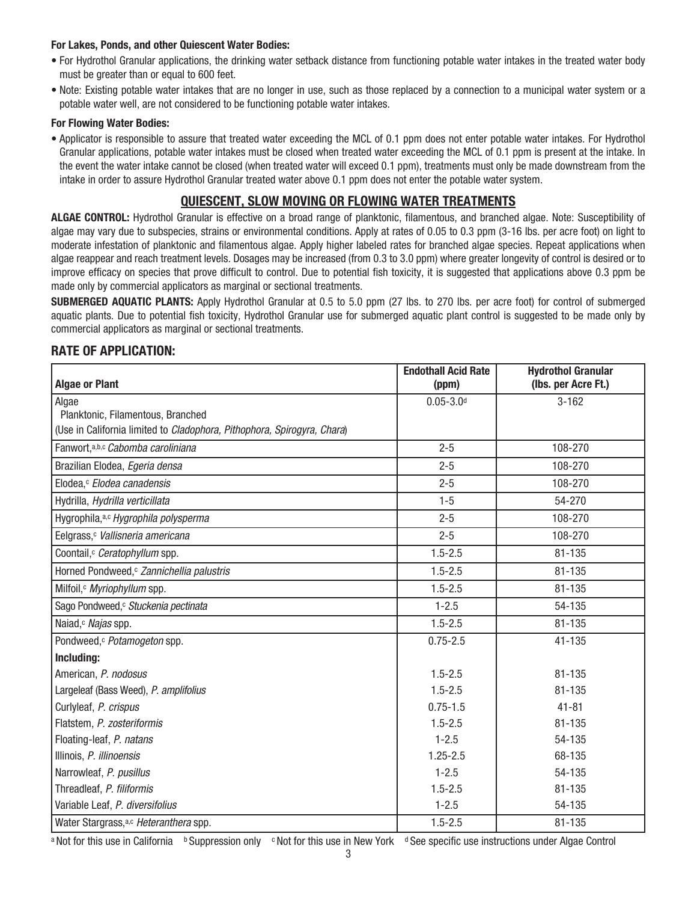#### **For Lakes, Ponds, and other Quiescent Water Bodies:**

- For Hydrothol Granular applications, the drinking water setback distance from functioning potable water intakes in the treated water body must be greater than or equal to 600 feet.
- Note: Existing potable water intakes that are no longer in use, such as those replaced by a connection to a municipal water system or a potable water well, are not considered to be functioning potable water intakes.

#### **For Flowing Water Bodies:**

• Applicator is responsible to assure that treated water exceeding the MCL of 0.1 ppm does not enter potable water intakes. For Hydrothol Granular applications, potable water intakes must be closed when treated water exceeding the MCL of 0.1 ppm is present at the intake. In the event the water intake cannot be closed (when treated water will exceed 0.1 ppm), treatments must only be made downstream from the intake in order to assure Hydrothol Granular treated water above 0.1 ppm does not enter the potable water system.

### **QUIESCENT, SLOW MOVING OR FLOWING WATER TREATMENTS**

**ALGAE CONTROL:** Hydrothol Granular is effective on a broad range of planktonic, filamentous, and branched algae. Note: Susceptibility of algae may vary due to subspecies, strains or environmental conditions. Apply at rates of 0.05 to 0.3 ppm (3-16 lbs. per acre foot) on light to moderate infestation of planktonic and filamentous algae. Apply higher labeled rates for branched algae species. Repeat applications when algae reappear and reach treatment levels. Dosages may be increased (from 0.3 to 3.0 ppm) where greater longevity of control is desired or to improve efficacy on species that prove difficult to control. Due to potential fish toxicity, it is suggested that applications above 0.3 ppm be made only by commercial applicators as marginal or sectional treatments.

**SUBMERGED AQUATIC PLANTS:** Apply Hydrothol Granular at 0.5 to 5.0 ppm (27 lbs. to 270 lbs. per acre foot) for control of submerged aquatic plants. Due to potential fish toxicity, Hydrothol Granular use for submerged aquatic plant control is suggested to be made only by commercial applicators as marginal or sectional treatments.

### **RATE OF APPLICATION:**

|                                                                         | <b>Endothall Acid Rate</b> | <b>Hydrothol Granular</b> |  |  |
|-------------------------------------------------------------------------|----------------------------|---------------------------|--|--|
| <b>Algae or Plant</b>                                                   | (ppm)                      | (Ibs. per Acre Ft.)       |  |  |
| Algae                                                                   | $0.05 - 3.0$ <sup>d</sup>  | $3 - 162$                 |  |  |
| Planktonic, Filamentous, Branched                                       |                            |                           |  |  |
| (Use in California limited to Cladophora, Pithophora, Spirogyra, Chara) |                            |                           |  |  |
| Fanwort, a,b,c Cabomba caroliniana                                      | $2 - 5$                    | 108-270                   |  |  |
| Brazilian Elodea, Egeria densa                                          | $2 - 5$                    | 108-270                   |  |  |
| Elodea, <sup>c</sup> Elodea canadensis                                  | $2 - 5$                    | 108-270                   |  |  |
| Hydrilla, Hydrilla verticillata                                         | $1 - 5$                    | 54-270                    |  |  |
| Hygrophila, a,c Hygrophila polysperma                                   | $2 - 5$                    | 108-270                   |  |  |
| Eelgrass, <sup>c</sup> Vallisneria americana                            | $2 - 5$                    | 108-270                   |  |  |
| Coontail, <sup>c</sup> Ceratophyllum spp.                               | $1.5 - 2.5$                | 81-135                    |  |  |
| Horned Pondweed, <sup>c</sup> Zannichellia palustris                    | $1.5 - 2.5$                | 81-135                    |  |  |
| Milfoil, Myriophyllum spp.                                              | $1.5 - 2.5$                | 81-135                    |  |  |
| Sago Pondweed, <sup>c</sup> Stuckenia pectinata                         | $1 - 2.5$                  | 54-135                    |  |  |
| Naiad, <sup>c</sup> Najas spp.                                          | $1.5 - 2.5$                | 81-135                    |  |  |
| Pondweed, <sup>c</sup> Potamogeton spp.                                 | $0.75 - 2.5$               | 41-135                    |  |  |
| Including:                                                              |                            |                           |  |  |
| American, P. nodosus                                                    | $1.5 - 2.5$                | 81-135                    |  |  |
| Largeleaf (Bass Weed), P. amplifolius                                   | $1.5 - 2.5$                | $81 - 135$                |  |  |
| Curlyleaf, P. crispus                                                   | $0.75 - 1.5$               | $41 - 81$                 |  |  |
| Flatstem, P. zosteriformis                                              | $1.5 - 2.5$                | 81-135                    |  |  |
| Floating-leaf, P. natans                                                | $1 - 2.5$                  | 54-135                    |  |  |
| Illinois, P. illinoensis                                                | $1.25 - 2.5$               | 68-135                    |  |  |
| Narrowleaf, P. pusillus                                                 | $1 - 2.5$                  | 54-135                    |  |  |
| Threadleaf, P. filiformis                                               | $1.5 - 2.5$                | 81-135                    |  |  |
| Variable Leaf, P. diversifolius                                         | $1 - 2.5$                  | 54-135                    |  |  |
| Water Stargrass, <sup>a,c</sup> Heteranthera spp.                       | $1.5 - 2.5$                | 81-135                    |  |  |

a Not for this use in California b Suppression only c Not for this use in New York d See specific use instructions under Algae Control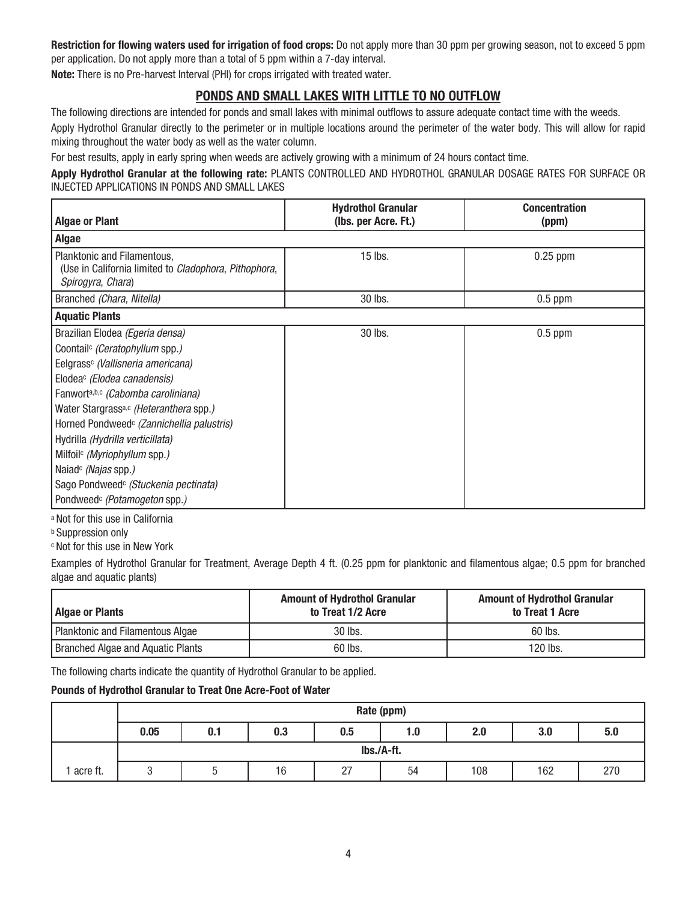**Restriction for flowing waters used for irrigation of food crops:** Do not apply more than 30 ppm per growing season, not to exceed 5 ppm per application. Do not apply more than a total of 5 ppm within a 7-day interval.

**Note:** There is no Pre-harvest Interval (PHI) for crops irrigated with treated water.

### **PONDS AND SMALL LAKES WITH LITTLE TO NO OUTFLOW**

The following directions are intended for ponds and small lakes with minimal outflows to assure adequate contact time with the weeds.

Apply Hydrothol Granular directly to the perimeter or in multiple locations around the perimeter of the water body. This will allow for rapid mixing throughout the water body as well as the water column.

For best results, apply in early spring when weeds are actively growing with a minimum of 24 hours contact time.

**Apply Hydrothol Granular at the following rate:** PLANTS CONTROLLED AND HYDROTHOL GRANULAR DOSAGE RATES FOR SURFACE OR INJECTED APPLICATIONS IN PONDS AND SMALL LAKES

| <b>Algae or Plant</b>                                                                                                                                                                                                                                                                                                                                                                                                                                                                                                                             | <b>Hydrothol Granular</b><br>(Ibs. per Acre. Ft.) | <b>Concentration</b><br>(ppm) |  |  |  |  |
|---------------------------------------------------------------------------------------------------------------------------------------------------------------------------------------------------------------------------------------------------------------------------------------------------------------------------------------------------------------------------------------------------------------------------------------------------------------------------------------------------------------------------------------------------|---------------------------------------------------|-------------------------------|--|--|--|--|
| <b>Algae</b>                                                                                                                                                                                                                                                                                                                                                                                                                                                                                                                                      |                                                   |                               |  |  |  |  |
| Planktonic and Filamentous,<br>(Use in California limited to Cladophora, Pithophora,<br>Spirogyra, Chara)                                                                                                                                                                                                                                                                                                                                                                                                                                         | 15 lbs.                                           | $0.25$ ppm                    |  |  |  |  |
| Branched (Chara, Nitella)                                                                                                                                                                                                                                                                                                                                                                                                                                                                                                                         | 30 lbs.                                           | $0.5$ ppm                     |  |  |  |  |
| <b>Aquatic Plants</b>                                                                                                                                                                                                                                                                                                                                                                                                                                                                                                                             |                                                   |                               |  |  |  |  |
| Brazilian Elodea (Egeria densa)<br>Coontail <sup>c</sup> (Ceratophyllum spp.)<br>Eelgrass <sup>c</sup> (Vallisneria americana)<br>Elodea <sup>c</sup> (Elodea canadensis)<br>Fanworta,b,c (Cabomba caroliniana)<br>Water Stargrass <sup>a,c</sup> (Heteranthera spp.)<br>Horned Pondweed <sup>c</sup> (Zannichellia palustris)<br>Hydrilla (Hydrilla verticillata)<br>Milfoil <sup>c</sup> (Myriophyllum spp.)<br>Naiad <sup>c</sup> (Najas spp.)<br>Sago Pondweed <sup>c</sup> (Stuckenia pectinata)<br>Pondweed <sup>c</sup> (Potamogeton spp.) | 30 lbs.                                           | $0.5$ ppm                     |  |  |  |  |

a Not for this use in California

**b** Suppression only

c Not for this use in New York

Examples of Hydrothol Granular for Treatment, Average Depth 4 ft. (0.25 ppm for planktonic and filamentous algae; 0.5 ppm for branched algae and aquatic plants)

| Algae or Plants                          | <b>Amount of Hydrothol Granular</b><br>to Treat 1/2 Acre | <b>Amount of Hydrothol Granular</b><br>to Treat 1 Acre |  |  |
|------------------------------------------|----------------------------------------------------------|--------------------------------------------------------|--|--|
| Planktonic and Filamentous Algae         | 30 lbs.                                                  | 60 lbs.                                                |  |  |
| <b>Branched Algae and Aquatic Plants</b> | 60 lbs.                                                  | $120$ lbs.                                             |  |  |

The following charts indicate the quantity of Hydrothol Granular to be applied.

#### **Pounds of Hydrothol Granular to Treat One Acre-Foot of Water**

|            | Rate (ppm) |     |     |     |     |     |     |     |
|------------|------------|-----|-----|-----|-----|-----|-----|-----|
|            | 0.05       | 0.1 | 0.3 | 0.5 | 1.0 | 2.0 | 3.0 | 5.0 |
|            | lbs./A-ft. |     |     |     |     |     |     |     |
| ' acre ft. |            |     | 16  | 27  | 54  | 108 | 162 | 270 |